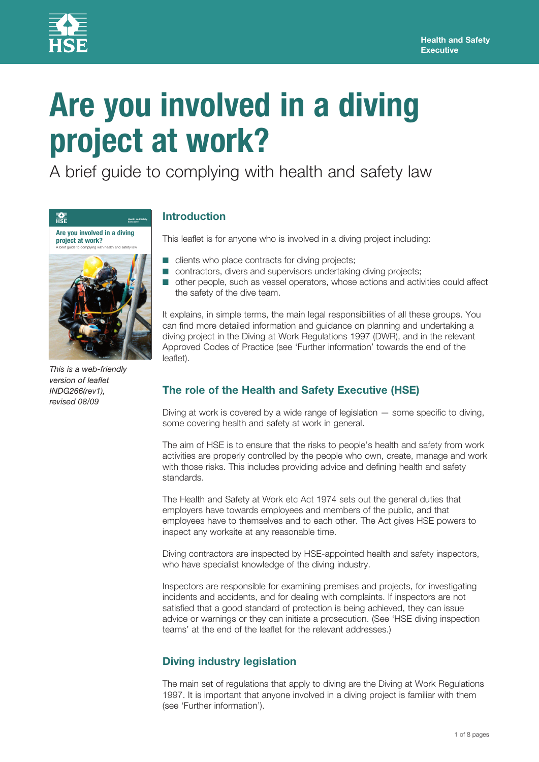

# **Are you involved in a diving project at work?**

A brief guide to complying with health and safety law



*This is a web-friendly version of leaflet INDG266(rev1), revised 08/09*

# **Introduction**

This leaflet is for anyone who is involved in a diving project including:

- clients who place contracts for diving projects;
- contractors, divers and supervisors undertaking diving projects;
- other people, such as vessel operators, whose actions and activities could affect the safety of the dive team.

It explains, in simple terms, the main legal responsibilities of all these groups. You can find more detailed information and guidance on planning and undertaking a diving project in the Diving at Work Regulations 1997 (DWR), and in the relevant Approved Codes of Practice (see 'Further information' towards the end of the leaflet).

# **The role of the Health and Safety Executive (HSE)**

Diving at work is covered by a wide range of legislation — some specific to diving, some covering health and safety at work in general.

The aim of HSE is to ensure that the risks to people's health and safety from work activities are properly controlled by the people who own, create, manage and work with those risks. This includes providing advice and defining health and safety standards.

The Health and Safety at Work etc Act 1974 sets out the general duties that employers have towards employees and members of the public, and that employees have to themselves and to each other. The Act gives HSE powers to inspect any worksite at any reasonable time.

Diving contractors are inspected by HSE-appointed health and safety inspectors, who have specialist knowledge of the diving industry.

Inspectors are responsible for examining premises and projects, for investigating incidents and accidents, and for dealing with complaints. If inspectors are not satisfied that a good standard of protection is being achieved, they can issue advice or warnings or they can initiate a prosecution. (See 'HSE diving inspection teams' at the end of the leaflet for the relevant addresses.)

# **Diving industry legislation**

The main set of regulations that apply to diving are the Diving at Work Regulations 1997. It is important that anyone involved in a diving project is familiar with them (see 'Further information').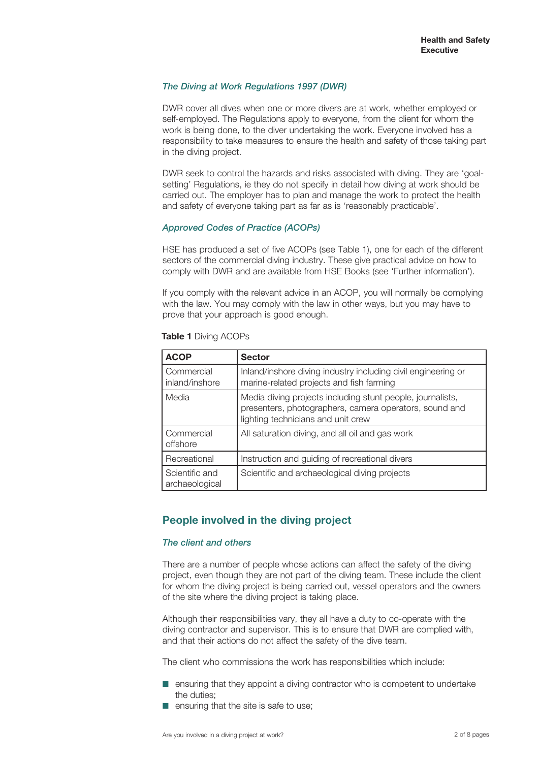## *The Diving at Work Regulations 1997 (DWR)*

DWR cover all dives when one or more divers are at work, whether employed or self-employed. The Regulations apply to everyone, from the client for whom the work is being done, to the diver undertaking the work. Everyone involved has a responsibility to take measures to ensure the health and safety of those taking part in the diving project.

DWR seek to control the hazards and risks associated with diving. They are 'goalsetting' Regulations, ie they do not specify in detail how diving at work should be carried out. The employer has to plan and manage the work to protect the health and safety of everyone taking part as far as is 'reasonably practicable'.

## *Approved Codes of Practice (ACOPs)*

HSE has produced a set of five ACOPs (see Table 1), one for each of the different sectors of the commercial diving industry. These give practical advice on how to comply with DWR and are available from HSE Books (see 'Further information').

If you comply with the relevant advice in an ACOP, you will normally be complying with the law. You may comply with the law in other ways, but you may have to prove that your approach is good enough.

| <b>ACOP</b>                      | <b>Sector</b>                                                                                                                                              |
|----------------------------------|------------------------------------------------------------------------------------------------------------------------------------------------------------|
| Commercial<br>inland/inshore     | Inland/inshore diving industry including civil engineering or<br>marine-related projects and fish farming                                                  |
| Media                            | Media diving projects including stunt people, journalists,<br>presenters, photographers, camera operators, sound and<br>lighting technicians and unit crew |
| Commercial<br>offshore           | All saturation diving, and all oil and gas work                                                                                                            |
| Recreational                     | Instruction and guiding of recreational divers                                                                                                             |
| Scientific and<br>archaeological | Scientific and archaeological diving projects                                                                                                              |

#### **Table 1** Diving ACOPs

## **People involved in the diving project**

## *The client and others*

There are a number of people whose actions can affect the safety of the diving project, even though they are not part of the diving team. These include the client for whom the diving project is being carried out, vessel operators and the owners of the site where the diving project is taking place.

Although their responsibilities vary, they all have a duty to co-operate with the diving contractor and supervisor. This is to ensure that DWR are complied with, and that their actions do not affect the safety of the dive team.

The client who commissions the work has responsibilities which include:

- ensuring that they appoint a diving contractor who is competent to undertake the duties;
- ensuring that the site is safe to use;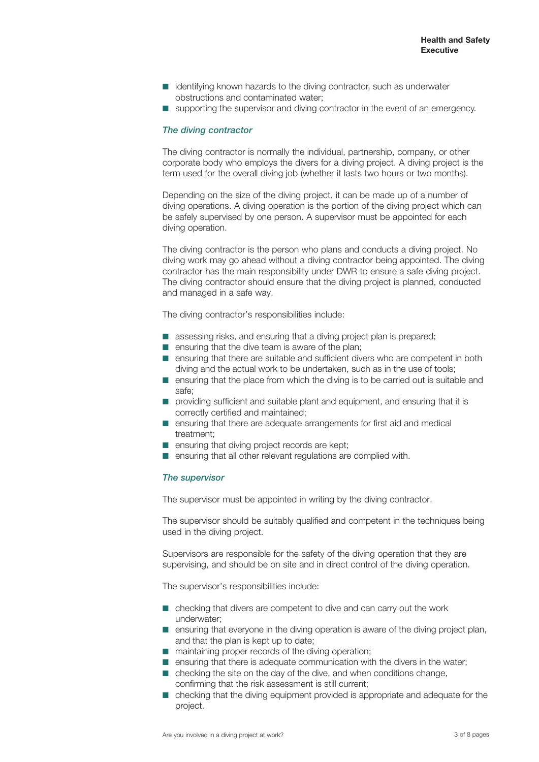- identifying known hazards to the diving contractor, such as underwater obstructions and contaminated water;
- supporting the supervisor and diving contractor in the event of an emergency.

#### *The diving contractor*

The diving contractor is normally the individual, partnership, company, or other corporate body who employs the divers for a diving project. A diving project is the term used for the overall diving job (whether it lasts two hours or two months).

Depending on the size of the diving project, it can be made up of a number of diving operations. A diving operation is the portion of the diving project which can be safely supervised by one person. A supervisor must be appointed for each diving operation.

The diving contractor is the person who plans and conducts a diving project. No diving work may go ahead without a diving contractor being appointed. The diving contractor has the main responsibility under DWR to ensure a safe diving project. The diving contractor should ensure that the diving project is planned, conducted and managed in a safe way.

The diving contractor's responsibilities include:

- assessing risks, and ensuring that a diving project plan is prepared;
- ensuring that the dive team is aware of the plan;
- ensuring that there are suitable and sufficient divers who are competent in both diving and the actual work to be undertaken, such as in the use of tools;
- ensuring that the place from which the diving is to be carried out is suitable and safe;
- providing sufficient and suitable plant and equipment, and ensuring that it is correctly certified and maintained;
- ensuring that there are adequate arrangements for first aid and medical treatment;
- ensuring that diving project records are kept;
- ensuring that all other relevant regulations are complied with.

#### *The supervisor*

The supervisor must be appointed in writing by the diving contractor.

The supervisor should be suitably qualified and competent in the techniques being used in the diving project.

Supervisors are responsible for the safety of the diving operation that they are supervising, and should be on site and in direct control of the diving operation.

The supervisor's responsibilities include:

- checking that divers are competent to dive and can carry out the work underwater;
- ensuring that everyone in the diving operation is aware of the diving project plan, and that the plan is kept up to date;
- maintaining proper records of the diving operation;
- ensuring that there is adequate communication with the divers in the water;
- $\blacksquare$  checking the site on the day of the dive, and when conditions change, confirming that the risk assessment is still current;
- checking that the diving equipment provided is appropriate and adequate for the project.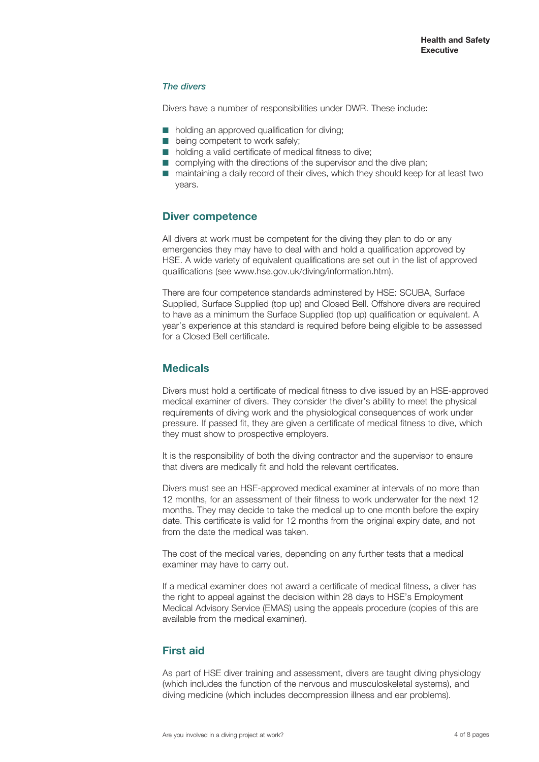## *The divers*

Divers have a number of responsibilities under DWR. These include:

- holding an approved qualification for diving;
- being competent to work safely;
- holding a valid certificate of medical fitness to dive;
- complying with the directions of the supervisor and the dive plan:
- maintaining a daily record of their dives, which they should keep for at least two years.

## **Diver competence**

All divers at work must be competent for the diving they plan to do or any emergencies they may have to deal with and hold a qualification approved by HSE. A wide variety of equivalent qualifications are set out in the list of approved qualifications (see www.hse.gov.uk/diving/information.htm).

There are four competence standards adminstered by HSE: SCUBA, Surface Supplied, Surface Supplied (top up) and Closed Bell. Offshore divers are required to have as a minimum the Surface Supplied (top up) qualification or equivalent. A year's experience at this standard is required before being eligible to be assessed for a Closed Bell certificate.

## **Medicals**

Divers must hold a certificate of medical fitness to dive issued by an HSE-approved medical examiner of divers. They consider the diver's ability to meet the physical requirements of diving work and the physiological consequences of work under pressure. If passed fit, they are given a certificate of medical fitness to dive, which they must show to prospective employers.

It is the responsibility of both the diving contractor and the supervisor to ensure that divers are medically fit and hold the relevant certificates.

Divers must see an HSE-approved medical examiner at intervals of no more than 12 months, for an assessment of their fitness to work underwater for the next 12 months. They may decide to take the medical up to one month before the expiry date. This certificate is valid for 12 months from the original expiry date, and not from the date the medical was taken.

The cost of the medical varies, depending on any further tests that a medical examiner may have to carry out.

If a medical examiner does not award a certificate of medical fitness, a diver has the right to appeal against the decision within 28 days to HSE's Employment Medical Advisory Service (EMAS) using the appeals procedure (copies of this are available from the medical examiner).

## **First aid**

As part of HSE diver training and assessment, divers are taught diving physiology (which includes the function of the nervous and musculoskeletal systems), and diving medicine (which includes decompression illness and ear problems).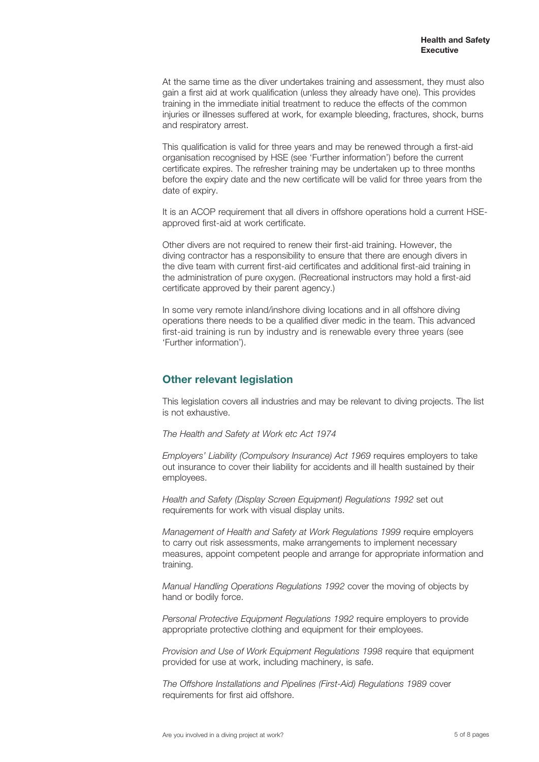At the same time as the diver undertakes training and assessment, they must also gain a first aid at work qualification (unless they already have one). This provides training in the immediate initial treatment to reduce the effects of the common injuries or illnesses suffered at work, for example bleeding, fractures, shock, burns and respiratory arrest.

This qualification is valid for three years and may be renewed through a first-aid organisation recognised by HSE (see 'Further information') before the current certificate expires. The refresher training may be undertaken up to three months before the expiry date and the new certificate will be valid for three years from the date of expiry.

It is an ACOP requirement that all divers in offshore operations hold a current HSEapproved first-aid at work certificate.

Other divers are not required to renew their first-aid training. However, the diving contractor has a responsibility to ensure that there are enough divers in the dive team with current first-aid certificates and additional first-aid training in the administration of pure oxygen. (Recreational instructors may hold a first-aid certificate approved by their parent agency.)

In some very remote inland/inshore diving locations and in all offshore diving operations there needs to be a qualified diver medic in the team. This advanced first-aid training is run by industry and is renewable every three years (see 'Further information').

# **Other relevant legislation**

This legislation covers all industries and may be relevant to diving projects. The list is not exhaustive.

*The Health and Safety at Work etc Act 1974*

*Employers' Liability (Compulsory Insurance) Act 1969* requires employers to take out insurance to cover their liability for accidents and ill health sustained by their employees.

*Health and Safety (Display Screen Equipment) Regulations 1992* set out requirements for work with visual display units.

*Management of Health and Safety at Work Regulations 1999* require employers to carry out risk assessments, make arrangements to implement necessary measures, appoint competent people and arrange for appropriate information and training.

*Manual Handling Operations Regulations 1992* cover the moving of objects by hand or bodily force.

*Personal Protective Equipment Regulations 1992* require employers to provide appropriate protective clothing and equipment for their employees.

*Provision and Use of Work Equipment Regulations 1998* require that equipment provided for use at work, including machinery, is safe.

*The Offshore Installations and Pipelines (First-Aid) Regulations 1989* cover requirements for first aid offshore.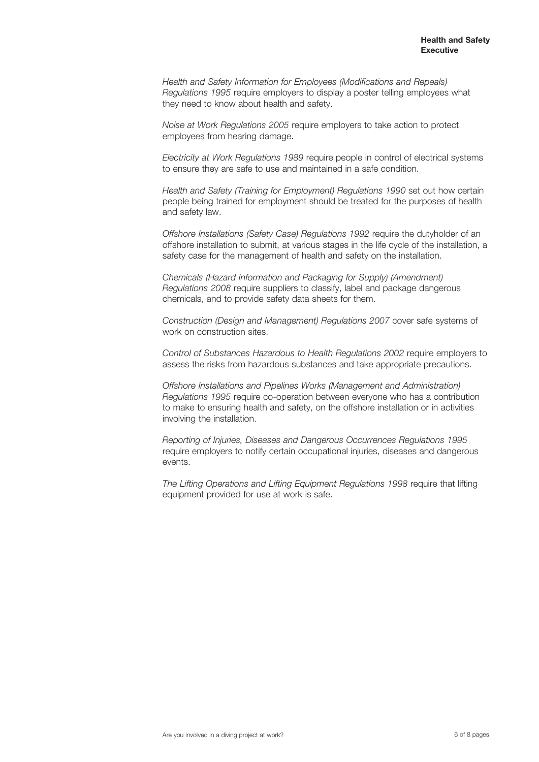*Health and Safety Information for Employees (Modifications and Repeals) Regulations 1995* require employers to display a poster telling employees what they need to know about health and safety.

*Noise at Work Regulations 2005* require employers to take action to protect employees from hearing damage.

*Electricity at Work Regulations 1989* require people in control of electrical systems to ensure they are safe to use and maintained in a safe condition.

*Health and Safety (Training for Employment) Regulations 1990* set out how certain people being trained for employment should be treated for the purposes of health and safety law.

*Offshore Installations (Safety Case) Regulations 1992* require the dutyholder of an offshore installation to submit, at various stages in the life cycle of the installation, a safety case for the management of health and safety on the installation.

*Chemicals (Hazard Information and Packaging for Supply) (Amendment) Regulations 2008* require suppliers to classify, label and package dangerous chemicals, and to provide safety data sheets for them.

*Construction (Design and Management) Regulations 2007* cover safe systems of work on construction sites.

*Control of Substances Hazardous to Health Regulations 2002* require employers to assess the risks from hazardous substances and take appropriate precautions.

*Offshore Installations and Pipelines Works (Management and Administration) Regulations 1995* require co-operation between everyone who has a contribution to make to ensuring health and safety, on the offshore installation or in activities involving the installation.

*Reporting of Injuries, Diseases and Dangerous Occurrences Regulations 1995*  require employers to notify certain occupational injuries, diseases and dangerous events.

*The Lifting Operations and Lifting Equipment Regulations 1998* require that lifting equipment provided for use at work is safe.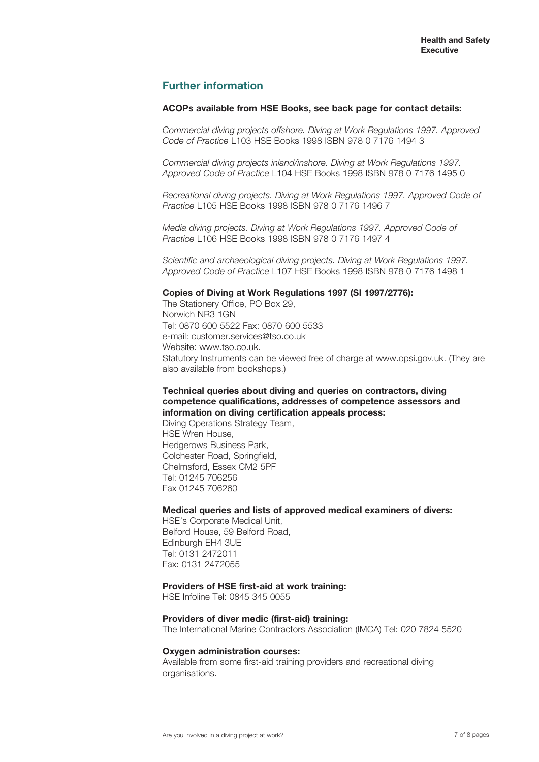## **Further information**

#### **ACOPs available from HSE Books, see back page for contact details:**

*Commercial diving projects offshore. Diving at Work Regulations 1997. Approved Code of Practice* L103 HSE Books 1998 ISBN 978 0 7176 1494 3

*Commercial diving projects inland/inshore. Diving at Work Regulations 1997. Approved Code of Practice* L104 HSE Books 1998 ISBN 978 0 7176 1495 0

*Recreational diving projects. Diving at Work Regulations 1997. Approved Code of Practice* L105 HSE Books 1998 ISBN 978 0 7176 1496 7

*Media diving projects. Diving at Work Regulations 1997. Approved Code of Practice* L106 HSE Books 1998 ISBN 978 0 7176 1497 4

*Scientific and archaeological diving projects. Diving at Work Regulations 1997. Approved Code of Practice* L107 HSE Books 1998 ISBN 978 0 7176 1498 1

## **Copies of Diving at Work Regulations 1997 (SI 1997/2776):**

The Stationery Office, PO Box 29, Norwich NR3 1GN Tel: 0870 600 5522 Fax: 0870 600 5533 e-mail: customer.services@tso.co.uk Website: www.tso.co.uk. Statutory Instruments can be viewed free of charge at www.opsi.gov.uk. (They are also available from bookshops.)

## **Technical queries about diving and queries on contractors, diving competence qualifications, addresses of competence assessors and information on diving certification appeals process:**

Diving Operations Strategy Team, HSE Wren House, Hedgerows Business Park, Colchester Road, Springfield, Chelmsford, Essex CM2 5PF Tel: 01245 706256 Fax 01245 706260

#### **Medical queries and lists of approved medical examiners of divers:**

HSE's Corporate Medical Unit, Belford House, 59 Belford Road, Edinburgh EH4 3UE Tel: 0131 2472011 Fax: 0131 2472055

#### **Providers of HSE first-aid at work training:**

HSE Infoline Tel: 0845 345 0055

#### **Providers of diver medic (first-aid) training:**

The International Marine Contractors Association (IMCA) Tel: 020 7824 5520

#### **Oxygen administration courses:**

Available from some first-aid training providers and recreational diving organisations.